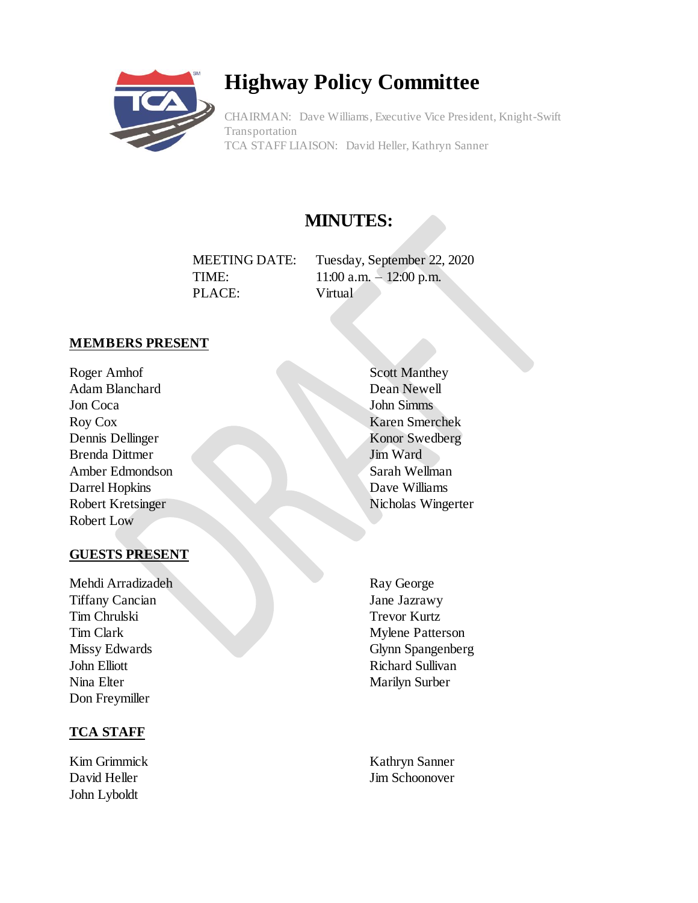

# **Highway Policy Committee**

CHAIRMAN: Dave Williams, Executive Vice President, Knight-Swift Transportation TCA STAFF LIAISON: David Heller, Kathryn Sanner

# **MINUTES:**

MEETING DATE: Tuesday, September 22, 2020 TIME: 11:00 a.m. - 12:00 p.m. PLACE: Virtual

## **MEMBERS PRESENT**

Roger Amhof Adam Blanchard Jon Coca Roy Cox Dennis Dellinger Brenda Dittmer Amber Edmondson Darrel Hopkins Robert Kretsinger Robert Low

#### **GUESTS PRESENT**

Mehdi Arradizadeh Tiffany Cancian Tim Chrulski Tim Clark Missy Edwards John Elliott Nina Elter Don Freymiller

#### **TCA STAFF**

Kim Grimmick David Heller John Lyboldt

- Scott Manthey Dean Newell John Simms Karen Smerchek Konor Swedberg Jim Ward Sarah Wellman Dave Williams Nicholas Wingerter
- Ray George Jane Jazrawy Trevor Kurtz Mylene Patterson Glynn Spangenberg Richard Sullivan Marilyn Surber

Kathryn Sanner Jim Schoonover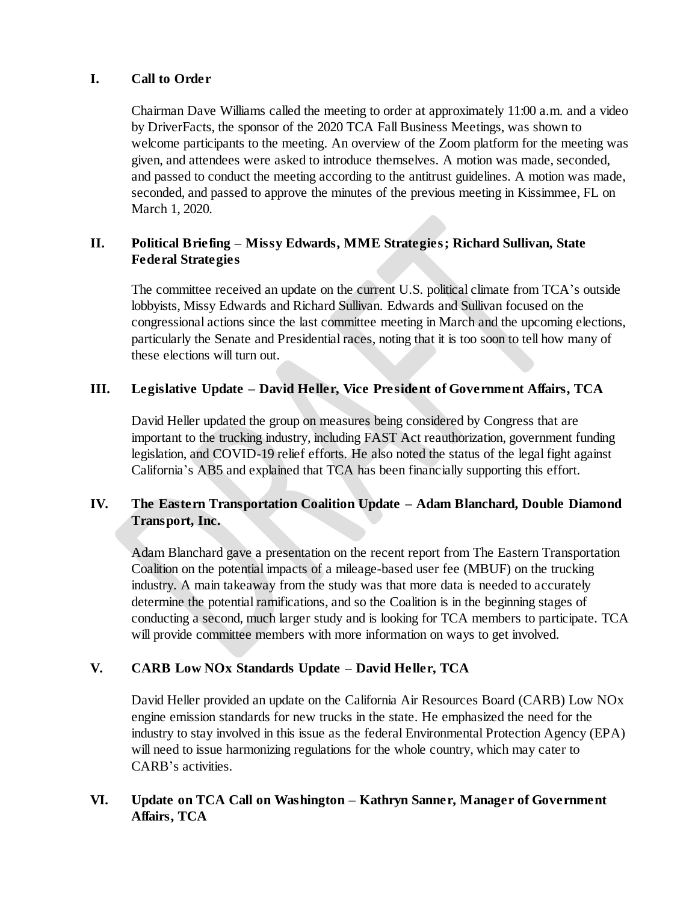#### **I. Call to Order**

Chairman Dave Williams called the meeting to order at approximately 11:00 a.m. and a video by DriverFacts, the sponsor of the 2020 TCA Fall Business Meetings, was shown to welcome participants to the meeting. An overview of the Zoom platform for the meeting was given, and attendees were asked to introduce themselves. A motion was made, seconded, and passed to conduct the meeting according to the antitrust guidelines. A motion was made, seconded, and passed to approve the minutes of the previous meeting in Kissimmee, FL on March 1, 2020.

# **II. Political Briefing – Missy Edwards, MME Strategies; Richard Sullivan, State Federal Strategies**

The committee received an update on the current U.S. political climate from TCA's outside lobbyists, Missy Edwards and Richard Sullivan. Edwards and Sullivan focused on the congressional actions since the last committee meeting in March and the upcoming elections, particularly the Senate and Presidential races, noting that it is too soon to tell how many of these elections will turn out.

## **III. Legislative Update – David Heller, Vice President of Government Affairs, TCA**

David Heller updated the group on measures being considered by Congress that are important to the trucking industry, including FAST Act reauthorization, government funding legislation, and COVID-19 relief efforts. He also noted the status of the legal fight against California's AB5 and explained that TCA has been financially supporting this effort.

## **IV. The Eastern Transportation Coalition Update – Adam Blanchard, Double Diamond Transport, Inc.**

Adam Blanchard gave a presentation on the recent report from The Eastern Transportation Coalition on the potential impacts of a mileage-based user fee (MBUF) on the trucking industry. A main takeaway from the study was that more data is needed to accurately determine the potential ramifications, and so the Coalition is in the beginning stages of conducting a second, much larger study and is looking for TCA members to participate. TCA will provide committee members with more information on ways to get involved.

# **V. CARB Low NOx Standards Update – David Heller, TCA**

David Heller provided an update on the California Air Resources Board (CARB) Low NOx engine emission standards for new trucks in the state. He emphasized the need for the industry to stay involved in this issue as the federal Environmental Protection Agency (EPA) will need to issue harmonizing regulations for the whole country, which may cater to CARB's activities.

## **VI. Update on TCA Call on Washington – Kathryn Sanner, Manager of Government Affairs, TCA**